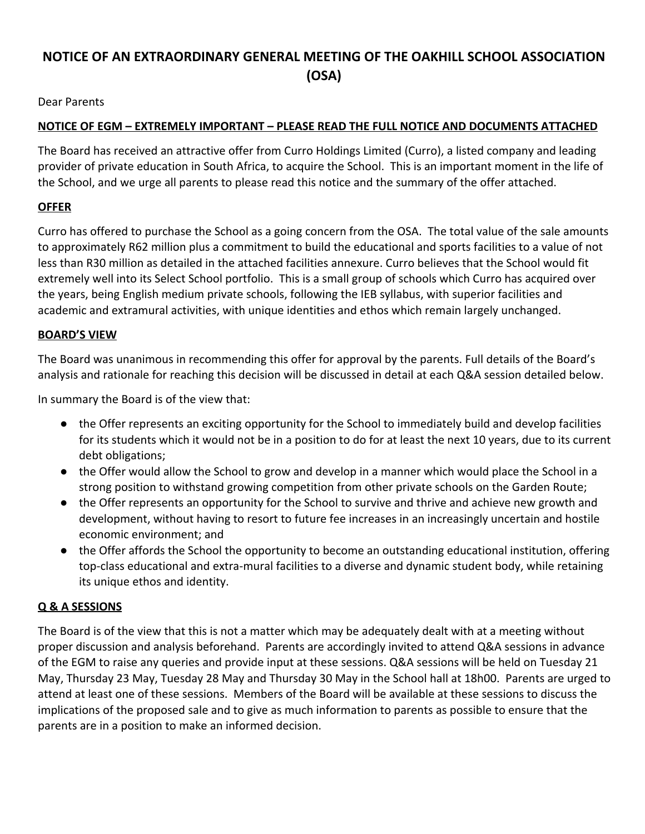# **NOTICE OF AN EXTRAORDINARY GENERAL MEETING OF THE OAKHILL SCHOOL ASSOCIATION (OSA)**

Dear Parents

### **NOTICE OF EGM – EXTREMELY IMPORTANT – PLEASE READ THE FULL NOTICE AND DOCUMENTS ATTACHED**

The Board has received an attractive offer from Curro Holdings Limited (Curro), a listed company and leading provider of private education in South Africa, to acquire the School. This is an important moment in the life of the School, and we urge all parents to please read this notice and the summary of the offer attached.

## **OFFER**

Curro has offered to purchase the School as a going concern from the OSA. The total value of the sale amounts to approximately R62 million plus a commitment to build the educational and sports facilities to a value of not less than R30 million as detailed in the attached facilities annexure. Curro believes that the School would fit extremely well into its Select School portfolio. This is a small group of schools which Curro has acquired over the years, being English medium private schools, following the IEB syllabus, with superior facilities and academic and extramural activities, with unique identities and ethos which remain largely unchanged.

#### **BOARD'S VIEW**

The Board was unanimous in recommending this offer for approval by the parents. Full details of the Board's analysis and rationale for reaching this decision will be discussed in detail at each Q&A session detailed below.

In summary the Board is of the view that:

- the Offer represents an exciting opportunity for the School to immediately build and develop facilities for its students which it would not be in a position to do for at least the next 10 years, due to its current debt obligations;
- the Offer would allow the School to grow and develop in a manner which would place the School in a strong position to withstand growing competition from other private schools on the Garden Route;
- the Offer represents an opportunity for the School to survive and thrive and achieve new growth and development, without having to resort to future fee increases in an increasingly uncertain and hostile economic environment; and
- the Offer affords the School the opportunity to become an outstanding educational institution, offering top-class educational and extra-mural facilities to a diverse and dynamic student body, while retaining its unique ethos and identity.

## **Q & A SESSIONS**

The Board is of the view that this is not a matter which may be adequately dealt with at a meeting without proper discussion and analysis beforehand. Parents are accordingly invited to attend Q&A sessions in advance of the EGM to raise any queries and provide input at these sessions. Q&A sessions will be held on Tuesday 21 May, Thursday 23 May, Tuesday 28 May and Thursday 30 May in the School hall at 18h00. Parents are urged to attend at least one of these sessions. Members of the Board will be available at these sessions to discuss the implications of the proposed sale and to give as much information to parents as possible to ensure that the parents are in a position to make an informed decision.